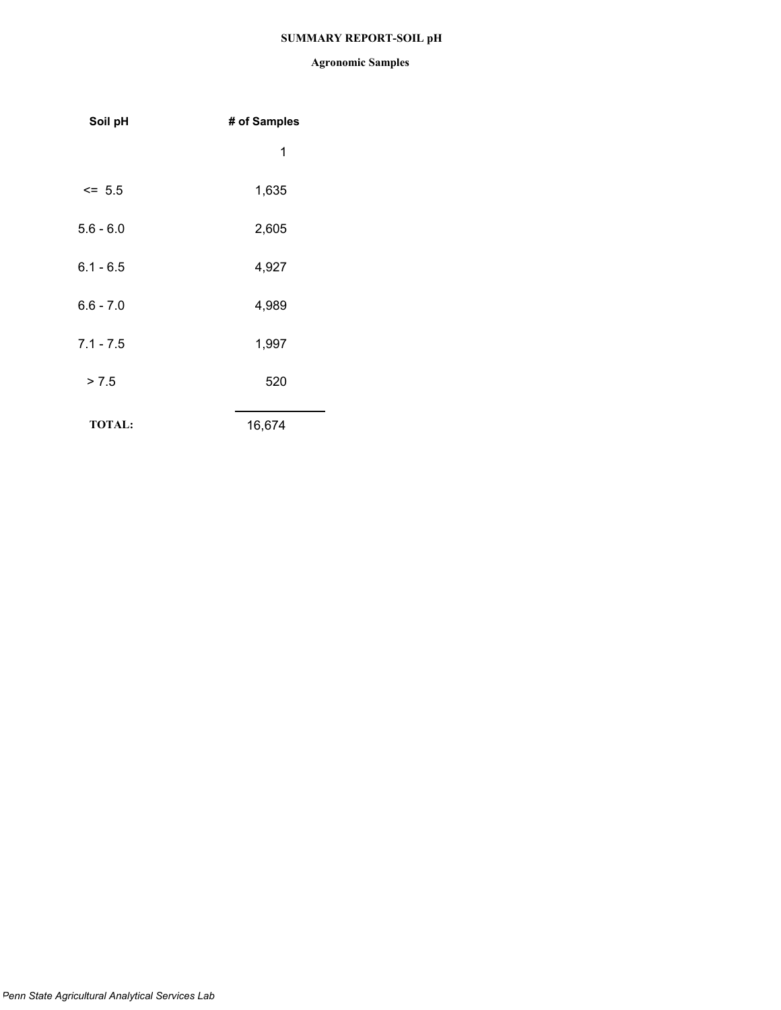## **SUMMARY REPORT-SOIL pH**

| Soil pH       | # of Samples |
|---------------|--------------|
|               | 1            |
| $\le$ 5.5     | 1,635        |
| $5.6 - 6.0$   | 2,605        |
| $6.1 - 6.5$   | 4,927        |
| $6.6 - 7.0$   | 4,989        |
| $7.1 - 7.5$   | 1,997        |
| > 7.5         | 520          |
| <b>TOTAL:</b> | 16,674       |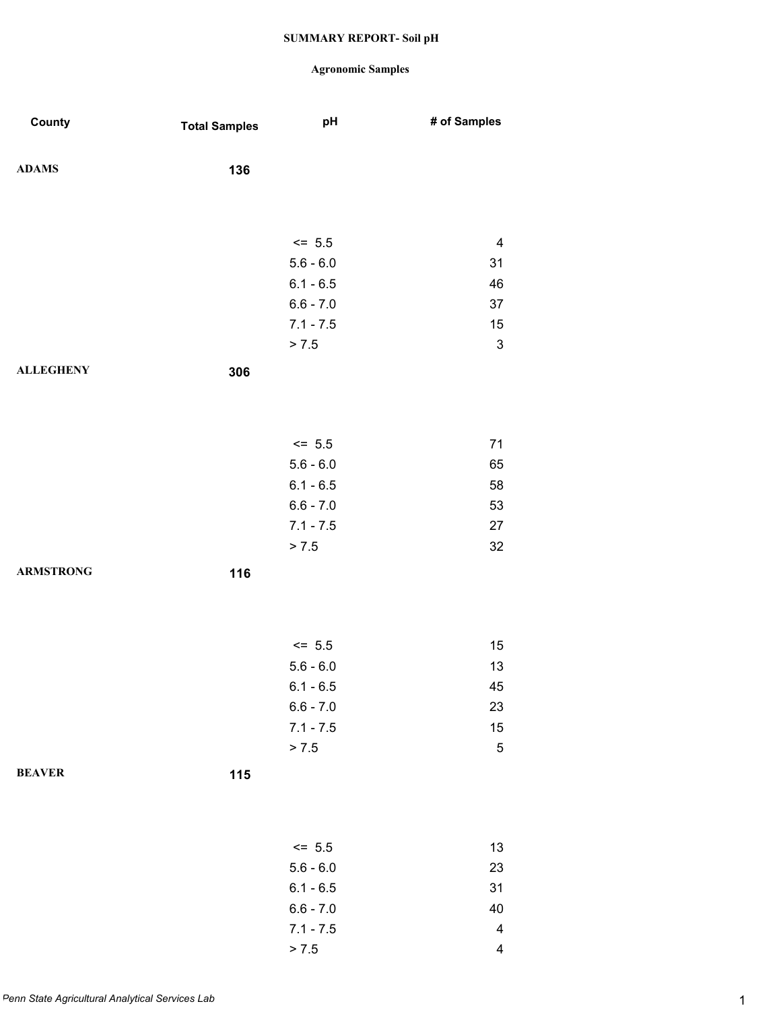| County           | <b>Total Samples</b> | pH          | # of Samples             |
|------------------|----------------------|-------------|--------------------------|
| <b>ADAMS</b>     | 136                  |             |                          |
|                  |                      |             |                          |
|                  |                      | $<= 5.5$    | $\overline{\mathbf{4}}$  |
|                  |                      | $5.6 - 6.0$ | 31                       |
|                  |                      | $6.1 - 6.5$ | 46                       |
|                  |                      | $6.6 - 7.0$ | 37                       |
|                  |                      | $7.1 - 7.5$ | 15                       |
|                  |                      | > 7.5       | $\mathbf 3$              |
| <b>ALLEGHENY</b> | 306                  |             |                          |
|                  |                      |             |                          |
|                  |                      |             |                          |
|                  |                      | $<= 5.5$    | 71                       |
|                  |                      | $5.6 - 6.0$ | 65                       |
|                  |                      | $6.1 - 6.5$ | 58                       |
|                  |                      | $6.6 - 7.0$ | 53                       |
|                  |                      | $7.1 - 7.5$ | 27                       |
|                  |                      | > 7.5       | 32                       |
| <b>ARMSTRONG</b> | 116                  |             |                          |
|                  |                      |             |                          |
|                  |                      |             |                          |
|                  |                      | $<= 5.5$    | 15                       |
|                  |                      | $5.6 - 6.0$ | 13                       |
|                  |                      | $6.1 - 6.5$ | 45                       |
|                  |                      | $6.6 - 7.0$ | 23                       |
|                  |                      | $7.1 - 7.5$ | 15                       |
|                  |                      | > 7.5       | $\mathbf 5$              |
| <b>BEAVER</b>    | $115$                |             |                          |
|                  |                      |             |                          |
|                  |                      |             |                          |
|                  |                      | $<= 5.5$    | 13                       |
|                  |                      | $5.6 - 6.0$ | 23                       |
|                  |                      | $6.1 - 6.5$ | 31                       |
|                  |                      | $6.6 - 7.0$ | 40                       |
|                  |                      | $7.1 - 7.5$ | 4                        |
|                  |                      | > 7.5       | $\overline{\mathcal{A}}$ |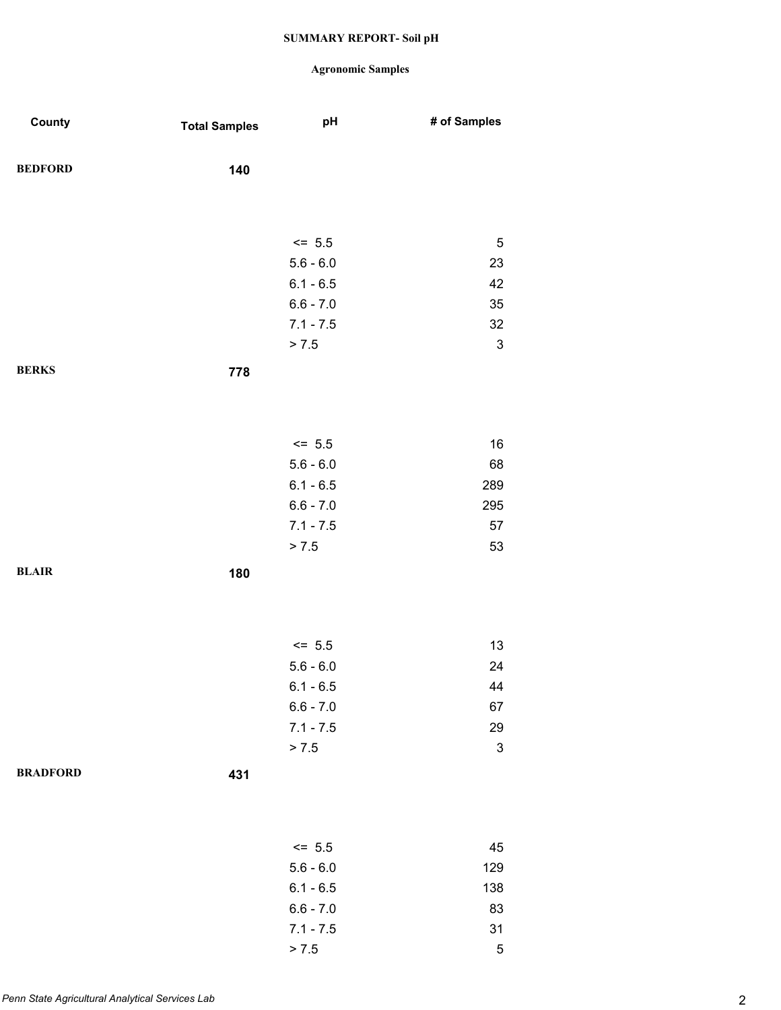| County          | <b>Total Samples</b> | pH          | # of Samples              |
|-----------------|----------------------|-------------|---------------------------|
| <b>BEDFORD</b>  | 140                  |             |                           |
|                 |                      |             |                           |
|                 |                      | $<= 5.5$    | $\sqrt{5}$                |
|                 |                      | $5.6 - 6.0$ | 23                        |
|                 |                      | $6.1 - 6.5$ | 42                        |
|                 |                      | $6.6 - 7.0$ | 35                        |
|                 |                      | $7.1 - 7.5$ | 32                        |
|                 |                      | > 7.5       | $\ensuremath{\mathsf{3}}$ |
| <b>BERKS</b>    | 778                  |             |                           |
|                 |                      |             |                           |
|                 |                      | $<= 5.5$    | 16                        |
|                 |                      | $5.6 - 6.0$ | 68                        |
|                 |                      | $6.1 - 6.5$ | 289                       |
|                 |                      | $6.6 - 7.0$ | 295                       |
|                 |                      | $7.1 - 7.5$ | 57                        |
|                 |                      | > 7.5       | 53                        |
| <b>BLAIR</b>    | 180                  |             |                           |
|                 |                      |             |                           |
|                 |                      | $<= 5.5$    | 13                        |
|                 |                      | $5.6 - 6.0$ | 24                        |
|                 |                      | $6.1 - 6.5$ | 44                        |
|                 |                      | $6.6 - 7.0$ | 67                        |
|                 |                      | $7.1 - 7.5$ | 29                        |
|                 |                      | > 7.5       | $\ensuremath{\mathsf{3}}$ |
| <b>BRADFORD</b> | 431                  |             |                           |
|                 |                      |             |                           |
|                 |                      | $\le$ 5.5   | 45                        |
|                 |                      | $5.6 - 6.0$ | 129                       |
|                 |                      | $6.1 - 6.5$ | 138                       |
|                 |                      | $6.6 - 7.0$ | 83                        |
|                 |                      | $7.1 - 7.5$ | 31                        |
|                 |                      | > 7.5       | $\mathbf 5$               |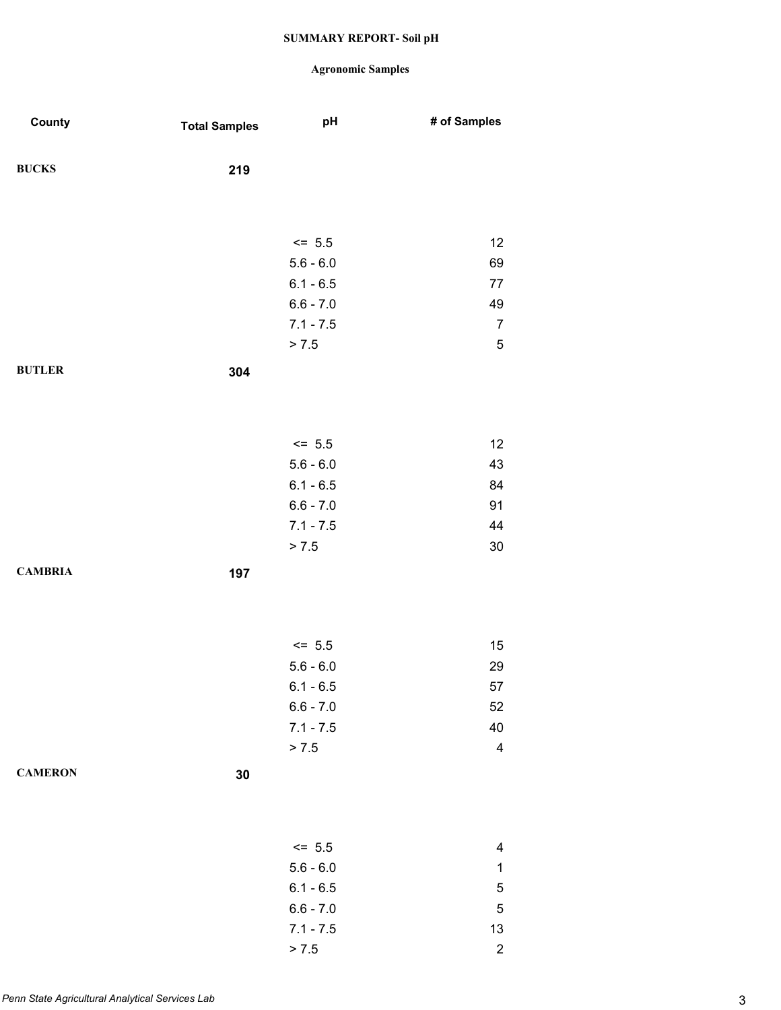| County         | <b>Total Samples</b> | pH          | # of Samples     |
|----------------|----------------------|-------------|------------------|
| <b>BUCKS</b>   | 219                  |             |                  |
|                |                      |             |                  |
|                |                      |             |                  |
|                |                      | $\le$ 5.5   | 12               |
|                |                      | $5.6 - 6.0$ | 69               |
|                |                      | $6.1 - 6.5$ | $77 \,$          |
|                |                      | $6.6 - 7.0$ | 49               |
|                |                      | $7.1 - 7.5$ | $\overline{7}$   |
|                |                      | > 7.5       | $\mathbf 5$      |
| <b>BUTLER</b>  | 304                  |             |                  |
|                |                      |             |                  |
|                |                      |             |                  |
|                |                      | $<= 5.5$    | 12               |
|                |                      | $5.6 - 6.0$ | 43               |
|                |                      | $6.1 - 6.5$ | 84               |
|                |                      | $6.6 - 7.0$ | 91               |
|                |                      | $7.1 - 7.5$ | 44               |
|                |                      | > 7.5       | $30\,$           |
| <b>CAMBRIA</b> | 197                  |             |                  |
|                |                      |             |                  |
|                |                      |             |                  |
|                |                      | $<= 5.5$    | $15\,$           |
|                |                      | $5.6 - 6.0$ | 29               |
|                |                      | $6.1 - 6.5$ | 57               |
|                |                      | $6.6 - 7.0$ | 52               |
|                |                      | $7.1 - 7.5$ | 40               |
|                |                      | > 7.5       | 4                |
| <b>CAMERON</b> |                      |             |                  |
|                | $30\,$               |             |                  |
|                |                      |             |                  |
|                |                      |             |                  |
|                |                      | $<= 5.5$    | 4                |
|                |                      | $5.6 - 6.0$ | 1                |
|                |                      | $6.1 - 6.5$ | 5                |
|                |                      | $6.6 - 7.0$ | 5                |
|                |                      | $7.1 - 7.5$ | 13               |
|                |                      | > 7.5       | $\boldsymbol{2}$ |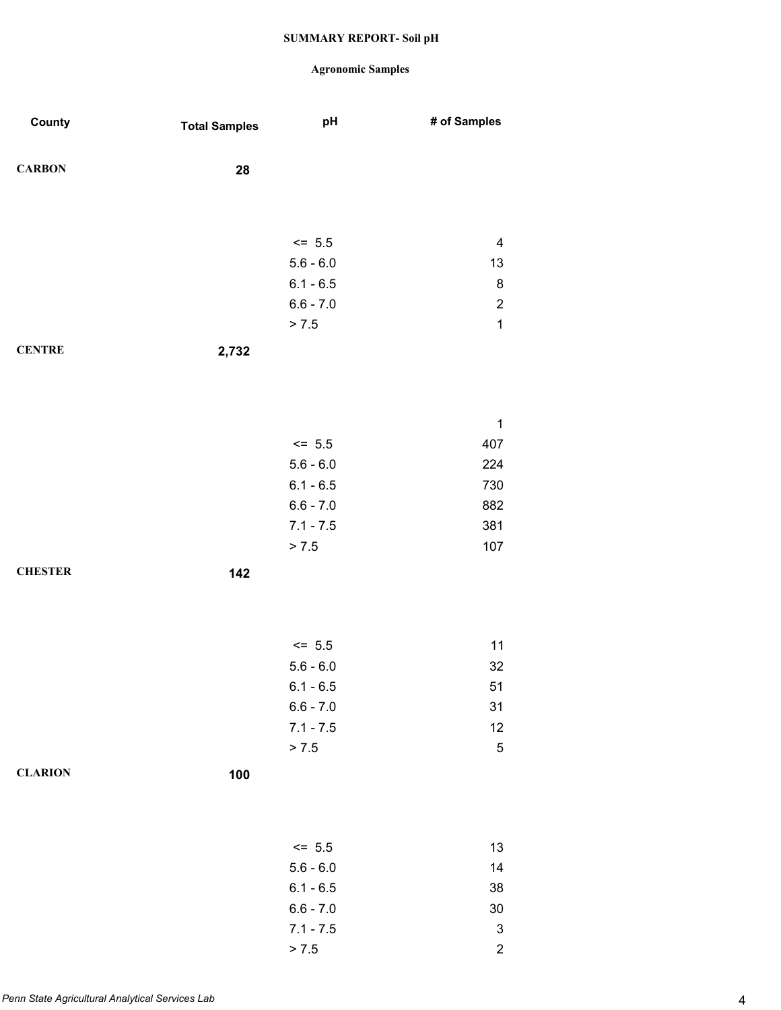| County         | <b>Total Samples</b> | pH                         | # of Samples              |
|----------------|----------------------|----------------------------|---------------------------|
| <b>CARBON</b>  | 28                   |                            |                           |
|                |                      |                            |                           |
|                |                      | $<= 5.5$                   | $\overline{\mathbf{4}}$   |
|                |                      | $5.6 - 6.0$                | 13                        |
|                |                      | $6.1 - 6.5$                | $\bf 8$                   |
|                |                      | $6.6 - 7.0$                | $\boldsymbol{2}$          |
|                |                      | > 7.5                      | $\mathbf 1$               |
| <b>CENTRE</b>  | 2,732                |                            |                           |
|                |                      |                            |                           |
|                |                      |                            |                           |
|                |                      |                            | $\mathbf 1$               |
|                |                      | $<= 5.5$                   | 407                       |
|                |                      | $5.6 - 6.0$                | 224                       |
|                |                      | $6.1 - 6.5$                | 730                       |
|                |                      | $6.6 - 7.0$                | 882                       |
|                |                      | $7.1 - 7.5$                | 381                       |
|                |                      | > 7.5                      | 107                       |
| <b>CHESTER</b> | 142                  |                            |                           |
|                |                      |                            |                           |
|                |                      |                            |                           |
|                |                      |                            |                           |
|                |                      | $<= 5.5$                   | 11                        |
|                |                      | $5.6 - 6.0$                | 32                        |
|                |                      | $6.1 - 6.5$<br>$6.6 - 7.0$ | 51<br>31                  |
|                |                      | $7.1 - 7.5$                | 12                        |
|                |                      | > 7.5                      | $\mathbf 5$               |
|                |                      |                            |                           |
| <b>CLARION</b> | 100                  |                            |                           |
|                |                      |                            |                           |
|                |                      |                            |                           |
|                |                      | $<= 5.5$                   | 13                        |
|                |                      | $5.6 - 6.0$                | 14                        |
|                |                      | $6.1 - 6.5$                | $38\,$                    |
|                |                      | $6.6 - 7.0$                | $30\,$                    |
|                |                      | $7.1 - 7.5$                | $\ensuremath{\mathsf{3}}$ |
|                |                      | > 7.5                      | $\overline{c}$            |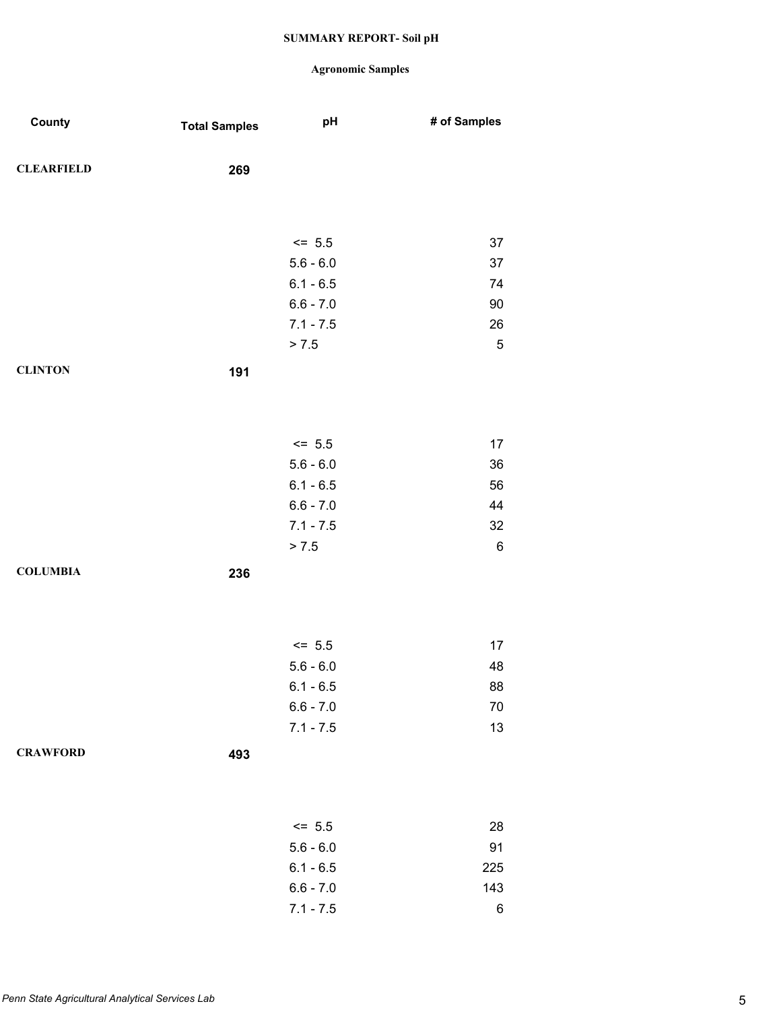| County            | <b>Total Samples</b> | pH                         | # of Samples |
|-------------------|----------------------|----------------------------|--------------|
| <b>CLEARFIELD</b> | 269                  |                            |              |
|                   |                      |                            |              |
|                   |                      | $<= 5.5$                   | 37           |
|                   |                      | $5.6 - 6.0$                | 37           |
|                   |                      | $6.1 - 6.5$                | 74           |
|                   |                      | $6.6 - 7.0$                | 90           |
|                   |                      | $7.1 - 7.5$                | 26           |
|                   |                      | > 7.5                      | $\mathbf 5$  |
| <b>CLINTON</b>    | 191                  |                            |              |
|                   |                      |                            |              |
|                   |                      |                            |              |
|                   |                      | $<= 5.5$                   | 17           |
|                   |                      | $5.6 - 6.0$                | 36           |
|                   |                      | $6.1 - 6.5$                | 56           |
|                   |                      | $6.6 - 7.0$                | 44           |
|                   |                      | $7.1 - 7.5$                | 32           |
|                   |                      | > 7.5                      | $\,6$        |
| <b>COLUMBIA</b>   | 236                  |                            |              |
|                   |                      |                            |              |
|                   |                      |                            |              |
|                   |                      |                            |              |
|                   |                      | $<= 5.5$                   | 17           |
|                   |                      | $5.6 - 6.0$                | 48           |
|                   |                      | $6.1 - 6.5$                | 88           |
|                   |                      | $6.6 - 7.0$<br>$7.1 - 7.5$ | $70\,$<br>13 |
|                   |                      |                            |              |
| <b>CRAWFORD</b>   | 493                  |                            |              |
|                   |                      |                            |              |
|                   |                      |                            |              |
|                   |                      | $<= 5.5$                   | 28           |
|                   |                      | $5.6 - 6.0$                | 91           |
|                   |                      | $6.1 - 6.5$                | 225          |
|                   |                      | $6.6 - 7.0$                | 143          |
|                   |                      | $7.1 - 7.5$                | $\,6$        |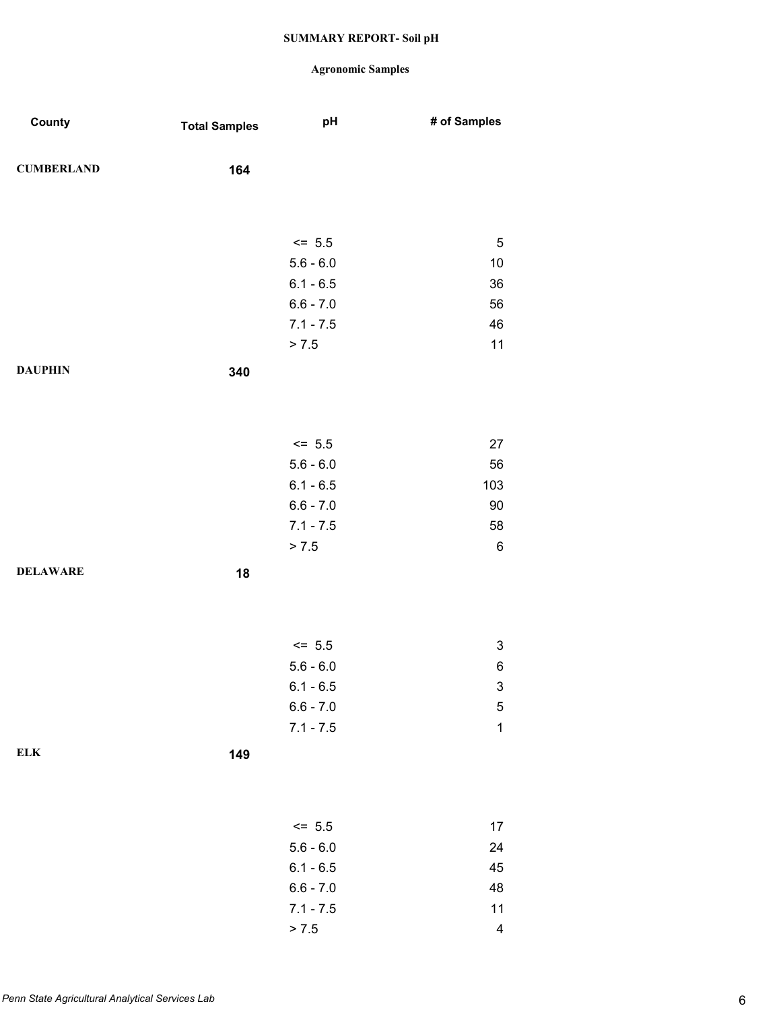| County            | <b>Total Samples</b> | pH          | # of Samples              |
|-------------------|----------------------|-------------|---------------------------|
| <b>CUMBERLAND</b> | 164                  |             |                           |
|                   |                      |             |                           |
|                   |                      |             |                           |
|                   |                      | $<= 5.5$    | 5                         |
|                   |                      | $5.6 - 6.0$ | $10$                      |
|                   |                      | $6.1 - 6.5$ | 36                        |
|                   |                      | $6.6 - 7.0$ | 56                        |
|                   |                      | $7.1 - 7.5$ | 46                        |
|                   |                      | > 7.5       | 11                        |
| <b>DAUPHIN</b>    | 340                  |             |                           |
|                   |                      |             |                           |
|                   |                      |             |                           |
|                   |                      | $<= 5.5$    | 27                        |
|                   |                      | $5.6 - 6.0$ | 56                        |
|                   |                      | $6.1 - 6.5$ | 103                       |
|                   |                      | $6.6 - 7.0$ | $90\,$                    |
|                   |                      | $7.1 - 7.5$ | 58                        |
|                   |                      | > 7.5       | $\,6$                     |
| <b>DELAWARE</b>   | 18                   |             |                           |
|                   |                      |             |                           |
|                   |                      |             |                           |
|                   |                      | $<= 5.5$    | $\ensuremath{\mathsf{3}}$ |
|                   |                      | $5.6 - 6.0$ | 6                         |
|                   |                      | $6.1 - 6.5$ | 3                         |
|                   |                      | $6.6 - 7.0$ | $\mathbf 5$               |
|                   |                      | $7.1 - 7.5$ | $\mathbf 1$               |
| ${\bf ELK}$       | 149                  |             |                           |
|                   |                      |             |                           |
|                   |                      |             |                           |
|                   |                      | $\le$ 5.5   | 17                        |
|                   |                      | $5.6 - 6.0$ | 24                        |
|                   |                      | $6.1 - 6.5$ | 45                        |
|                   |                      | $6.6 - 7.0$ | 48                        |
|                   |                      | $7.1 - 7.5$ | 11                        |
|                   |                      | > 7.5       | $\overline{\mathcal{A}}$  |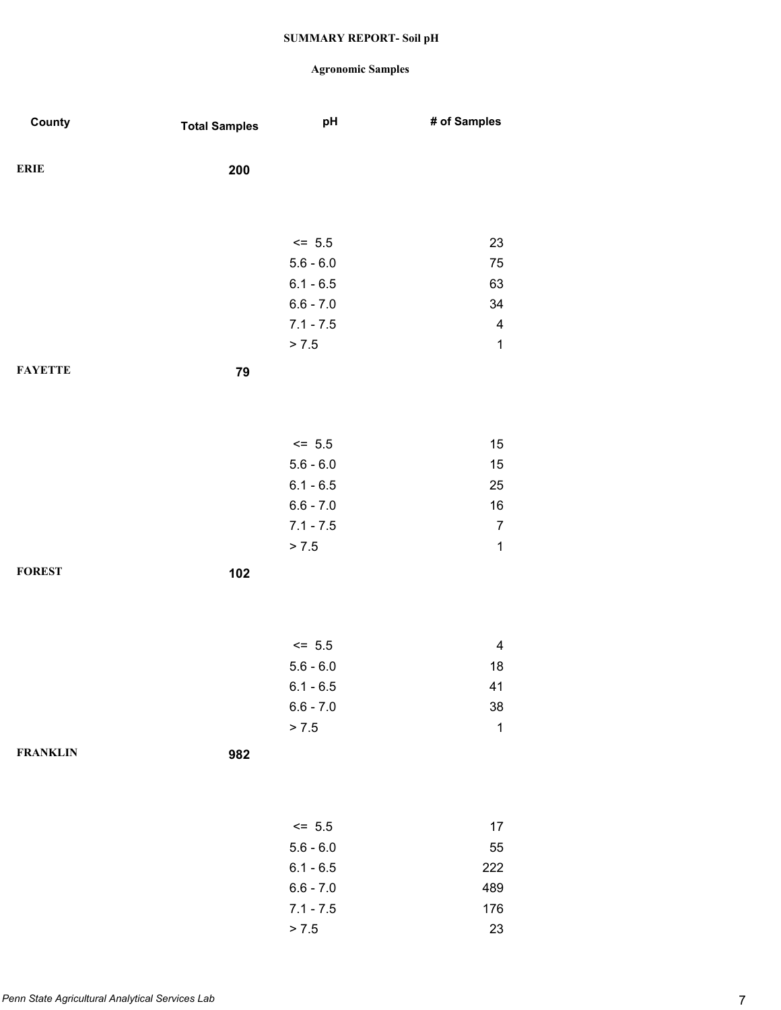| County          | <b>Total Samples</b> | pH          | # of Samples   |
|-----------------|----------------------|-------------|----------------|
| <b>ERIE</b>     | 200                  |             |                |
|                 |                      |             |                |
|                 |                      | $<= 5.5$    | 23             |
|                 |                      | $5.6 - 6.0$ | 75             |
|                 |                      | $6.1 - 6.5$ | 63             |
|                 |                      | $6.6 - 7.0$ | 34             |
|                 |                      | $7.1 - 7.5$ | 4              |
|                 |                      | > 7.5       | $\mathbf 1$    |
| <b>FAYETTE</b>  | 79                   |             |                |
|                 |                      |             |                |
|                 |                      | $<= 5.5$    | 15             |
|                 |                      | $5.6 - 6.0$ | 15             |
|                 |                      | $6.1 - 6.5$ | 25             |
|                 |                      | $6.6 - 7.0$ | 16             |
|                 |                      | $7.1 - 7.5$ | $\overline{7}$ |
|                 |                      | > 7.5       | $\mathbf 1$    |
| <b>FOREST</b>   | 102                  |             |                |
|                 |                      |             |                |
|                 |                      | $<= 5.5$    | 4              |
|                 |                      | $5.6 - 6.0$ | 18             |
|                 |                      | $6.1 - 6.5$ | 41             |
|                 |                      | $6.6 - 7.0$ | 38             |
|                 |                      | > 7.5       | $\mathbf 1$    |
| <b>FRANKLIN</b> | 982                  |             |                |
|                 |                      |             |                |
|                 |                      | $\le$ 5.5   | 17             |
|                 |                      | $5.6 - 6.0$ | 55             |
|                 |                      | $6.1 - 6.5$ | 222            |
|                 |                      | $6.6 - 7.0$ | 489            |
|                 |                      | $7.1 - 7.5$ | 176            |
|                 |                      | > 7.5       | 23             |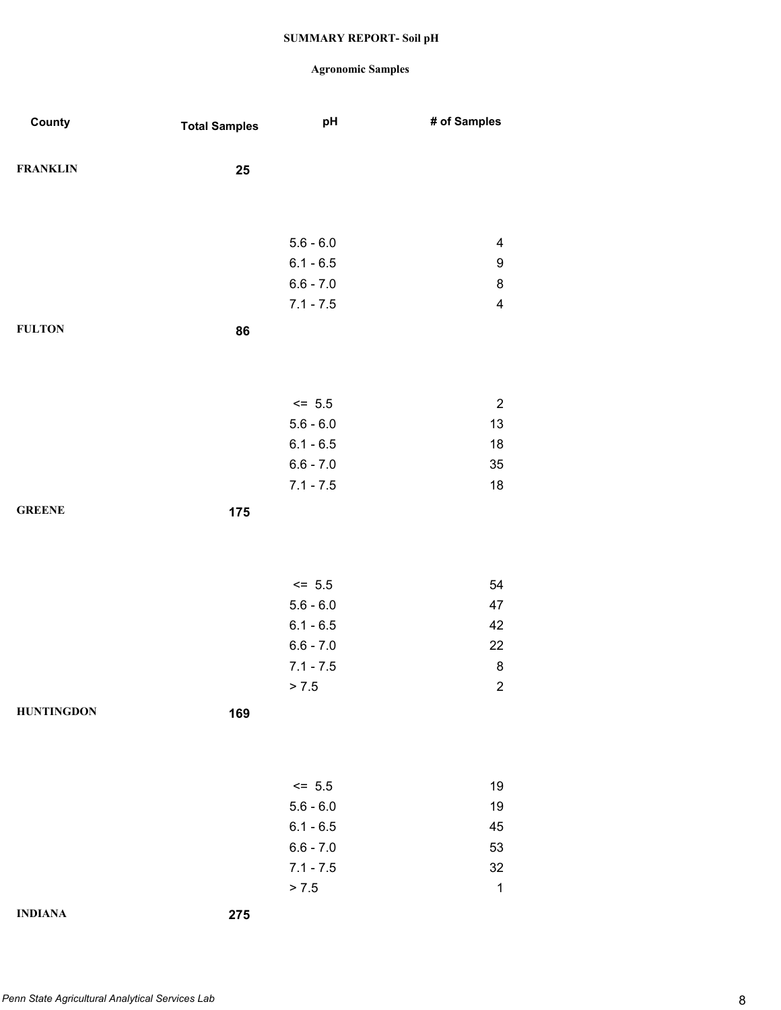| County            | <b>Total Samples</b> | pH          | # of Samples            |
|-------------------|----------------------|-------------|-------------------------|
|                   |                      |             |                         |
| <b>FRANKLIN</b>   | 25                   |             |                         |
|                   |                      |             |                         |
|                   |                      |             |                         |
|                   |                      | $5.6 - 6.0$ | 4                       |
|                   |                      | $6.1 - 6.5$ | $\boldsymbol{9}$        |
|                   |                      | $6.6 - 7.0$ | $\bf 8$                 |
|                   |                      | $7.1 - 7.5$ | $\overline{\mathbf{4}}$ |
| <b>FULTON</b>     | 86                   |             |                         |
|                   |                      |             |                         |
|                   |                      |             |                         |
|                   |                      | $<= 5.5$    | $\overline{c}$          |
|                   |                      | $5.6 - 6.0$ | 13                      |
|                   |                      | $6.1 - 6.5$ | 18                      |
|                   |                      | $6.6 - 7.0$ | 35                      |
|                   |                      | $7.1 - 7.5$ | 18                      |
| <b>GREENE</b>     | 175                  |             |                         |
|                   |                      |             |                         |
|                   |                      |             |                         |
|                   |                      | $<= 5.5$    | 54                      |
|                   |                      | $5.6 - 6.0$ | 47                      |
|                   |                      | $6.1 - 6.5$ | 42                      |
|                   |                      | $6.6 - 7.0$ | 22                      |
|                   |                      | $7.1 - 7.5$ | 8                       |
|                   |                      | > 7.5       | $\overline{c}$          |
| <b>HUNTINGDON</b> | 169                  |             |                         |
|                   |                      |             |                         |
|                   |                      |             |                         |
|                   |                      | $<= 5.5$    | 19                      |
|                   |                      | $5.6 - 6.0$ | 19                      |
|                   |                      | $6.1 - 6.5$ | 45                      |
|                   |                      | $6.6 - 7.0$ | 53                      |
|                   |                      | $7.1 - 7.5$ | 32                      |
|                   |                      | > 7.5       | $\mathbf 1$             |
| <b>INDIANA</b>    | 275                  |             |                         |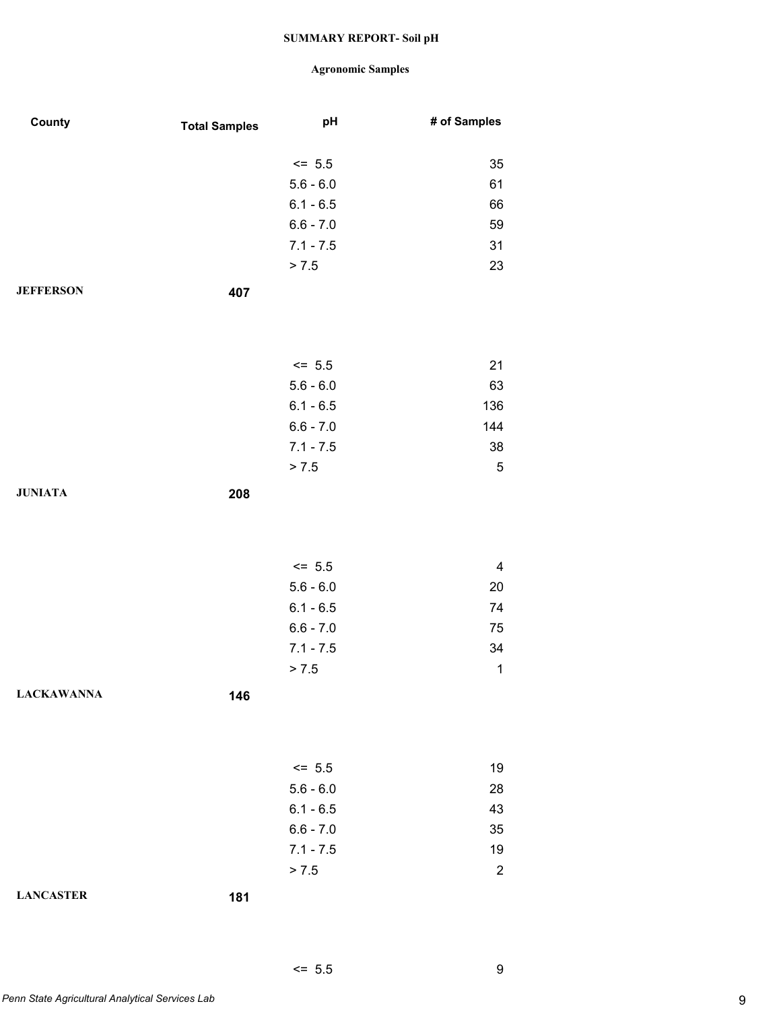| County            | <b>Total Samples</b> | pH          | # of Samples   |
|-------------------|----------------------|-------------|----------------|
|                   |                      |             |                |
|                   |                      | $\le$ 5.5   | 35             |
|                   |                      | $5.6 - 6.0$ | 61             |
|                   |                      | $6.1 - 6.5$ | 66             |
|                   |                      | $6.6 - 7.0$ | 59             |
|                   |                      | $7.1 - 7.5$ | 31             |
|                   |                      | > 7.5       | 23             |
| <b>JEFFERSON</b>  | 407                  |             |                |
|                   |                      |             |                |
|                   |                      |             |                |
|                   |                      | $\le$ 5.5   | 21             |
|                   |                      | $5.6 - 6.0$ | 63             |
|                   |                      | $6.1 - 6.5$ | 136            |
|                   |                      | $6.6 - 7.0$ | 144            |
|                   |                      | $7.1 - 7.5$ | $38\,$         |
|                   |                      | > 7.5       | $\mathbf 5$    |
| <b>JUNIATA</b>    | 208                  |             |                |
|                   |                      |             |                |
|                   |                      |             |                |
|                   |                      | $\le$ 5.5   | 4              |
|                   |                      | $5.6 - 6.0$ |                |
|                   |                      |             | 20             |
|                   |                      | $6.1 - 6.5$ | 74             |
|                   |                      | $6.6 - 7.0$ | 75             |
|                   |                      | $7.1 - 7.5$ | 34             |
|                   |                      | > 7.5       | $\mathbf 1$    |
| <b>LACKAWANNA</b> | 146                  |             |                |
|                   |                      |             |                |
|                   |                      |             |                |
|                   |                      | $\le$ 5.5   | 19             |
|                   |                      | $5.6 - 6.0$ | 28             |
|                   |                      | $6.1 - 6.5$ | 43             |
|                   |                      | $6.6 - 7.0$ | 35             |
|                   |                      | $7.1 - 7.5$ | 19             |
|                   |                      | > 7.5       | $\overline{2}$ |
| <b>LANCASTER</b>  | 181                  |             |                |
|                   |                      |             |                |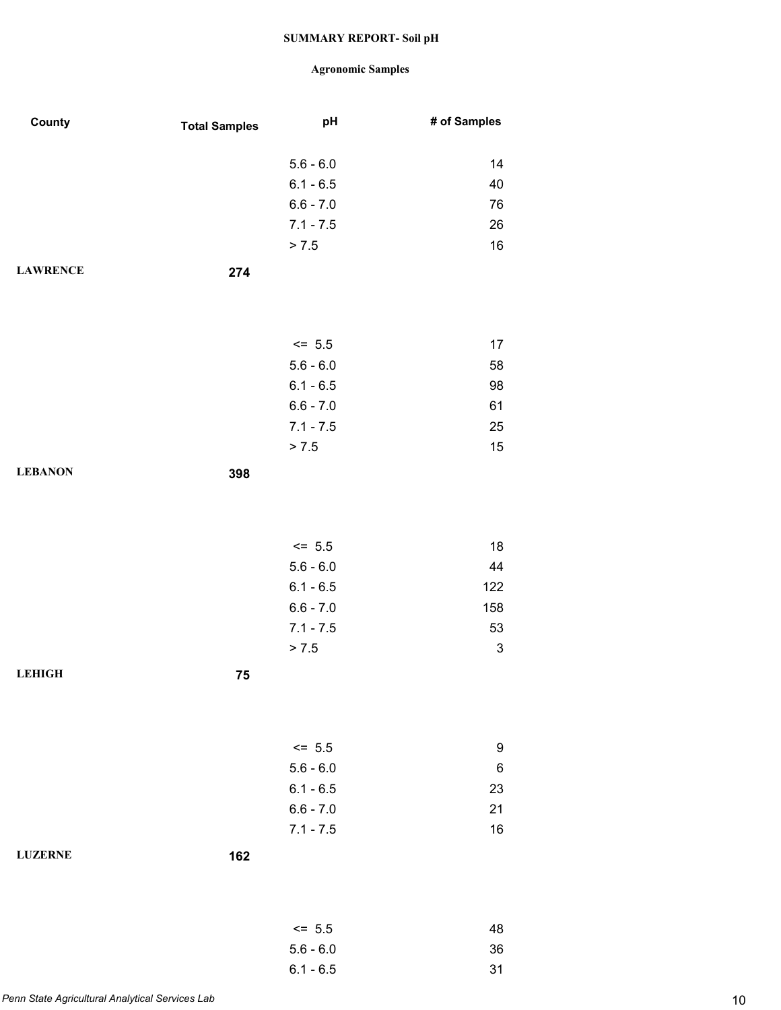| County          | <b>Total Samples</b> | pH                         | # of Samples              |
|-----------------|----------------------|----------------------------|---------------------------|
|                 |                      | $5.6 - 6.0$                | 14                        |
|                 |                      | $6.1 - 6.5$                | 40                        |
|                 |                      | $6.6 - 7.0$                | 76                        |
|                 |                      | $7.1 - 7.5$                | 26                        |
|                 |                      | > 7.5                      | 16                        |
| <b>LAWRENCE</b> | 274                  |                            |                           |
|                 |                      |                            |                           |
|                 |                      | $<= 5.5$                   | 17                        |
|                 |                      | $5.6 - 6.0$                | 58                        |
|                 |                      | $6.1 - 6.5$                | 98                        |
|                 |                      | $6.6 - 7.0$                | 61                        |
|                 |                      | $7.1 - 7.5$                | 25                        |
|                 |                      | > 7.5                      | 15                        |
| <b>LEBANON</b>  | 398                  |                            |                           |
|                 |                      |                            |                           |
|                 |                      | $<= 5.5$                   | 18                        |
|                 |                      | $5.6 - 6.0$<br>$6.1 - 6.5$ | 44<br>122                 |
|                 |                      | $6.6 - 7.0$                | 158                       |
|                 |                      | $7.1 - 7.5$                | 53                        |
|                 |                      | > 7.5                      | $\ensuremath{\mathsf{3}}$ |
| <b>LEHIGH</b>   | 75                   |                            |                           |
|                 |                      |                            |                           |
|                 |                      | $<= 5.5$                   | 9                         |
|                 |                      | $5.6 - 6.0$                | 6                         |
|                 |                      | $6.1 - 6.5$                | 23                        |
|                 |                      | $6.6 - 7.0$                | 21                        |
|                 |                      | $7.1 - 7.5$                | 16                        |
| <b>LUZERNE</b>  | 162                  |                            |                           |
|                 |                      | $<= 5.5$                   | 48                        |
|                 |                      | $5.6 - 6.0$                | 36                        |
|                 |                      | $6.1 - 6.5$                | 31                        |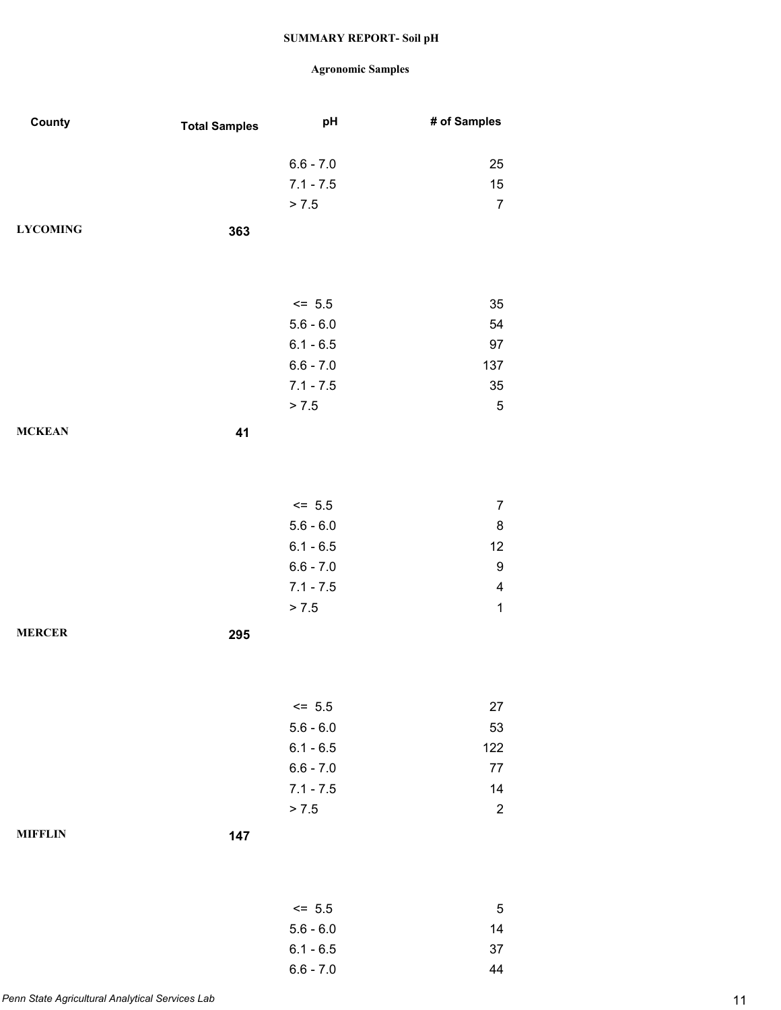| County          | <b>Total Samples</b> | pH                         | # of Samples                 |
|-----------------|----------------------|----------------------------|------------------------------|
|                 |                      |                            |                              |
|                 |                      | $6.6 - 7.0$                | 25                           |
|                 |                      | $7.1 - 7.5$                | 15                           |
|                 |                      | > 7.5                      | $\overline{7}$               |
| <b>LYCOMING</b> | 363                  |                            |                              |
|                 |                      |                            |                              |
|                 |                      |                            |                              |
|                 |                      |                            |                              |
|                 |                      | $<= 5.5$                   | 35                           |
|                 |                      | $5.6 - 6.0$                | 54                           |
|                 |                      | $6.1 - 6.5$                | 97                           |
|                 |                      | $6.6 - 7.0$                | 137                          |
|                 |                      | $7.1 - 7.5$                | 35                           |
|                 |                      | > 7.5                      | $\mathbf 5$                  |
| <b>MCKEAN</b>   | 41                   |                            |                              |
|                 |                      |                            |                              |
|                 |                      |                            |                              |
|                 |                      |                            |                              |
|                 |                      | $<= 5.5$<br>$5.6 - 6.0$    | $\overline{7}$<br>$\bf 8$    |
|                 |                      |                            | 12                           |
|                 |                      | $6.1 - 6.5$                |                              |
|                 |                      | $6.6 - 7.0$<br>$7.1 - 7.5$ | 9<br>$\overline{\mathbf{4}}$ |
|                 |                      |                            | $\mathbf 1$                  |
|                 |                      | > 7.5                      |                              |
| <b>MERCER</b>   | 295                  |                            |                              |
|                 |                      |                            |                              |
|                 |                      |                            |                              |
|                 |                      | $\le$ 5.5                  | 27                           |
|                 |                      | $5.6 - 6.0$                | 53                           |
|                 |                      | $6.1 - 6.5$                | 122                          |
|                 |                      | $6.6 - 7.0$                | 77                           |
|                 |                      | $7.1 - 7.5$                | 14                           |
|                 |                      | > 7.5                      | $\overline{c}$               |
| <b>MIFFLIN</b>  |                      |                            |                              |
|                 | 147                  |                            |                              |
|                 |                      |                            |                              |
|                 |                      |                            |                              |
|                 |                      | $<= 5.5$                   | $\mathbf 5$                  |
|                 |                      | $5.6 - 6.0$                | 14                           |
|                 |                      | $6.1 - 6.5$                | 37                           |
|                 |                      | $6.6 - 7.0$                | 44                           |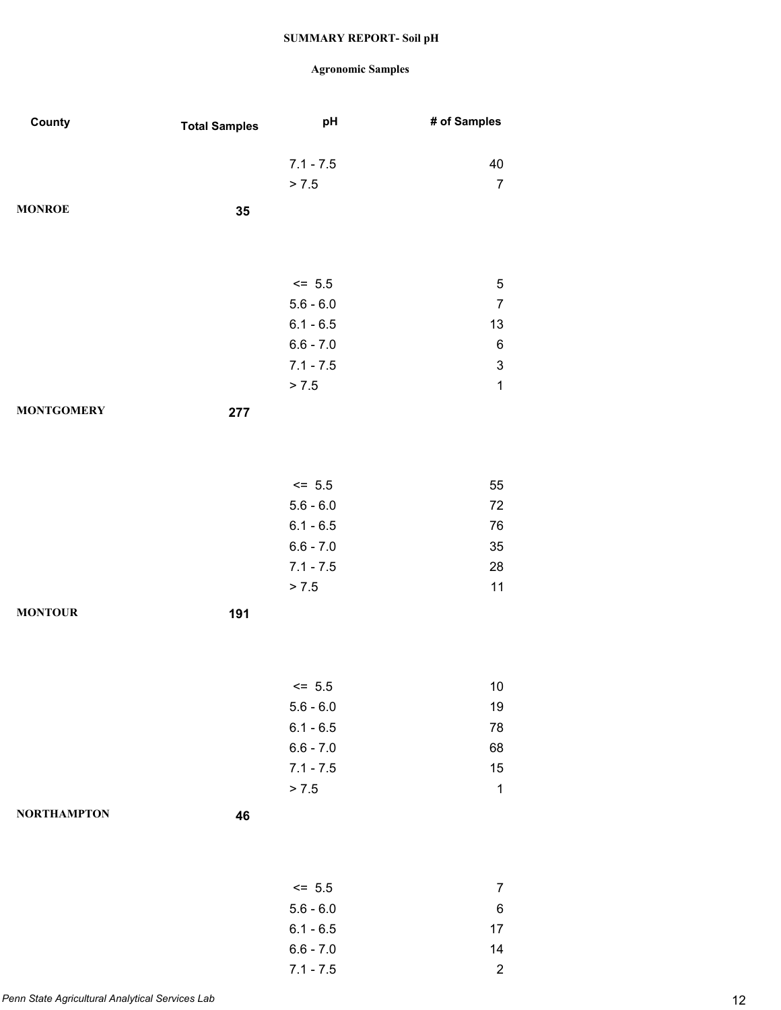| County             | <b>Total Samples</b> | pH                     | # of Samples              |
|--------------------|----------------------|------------------------|---------------------------|
|                    |                      |                        |                           |
|                    |                      | $7.1 - 7.5$            | 40                        |
|                    |                      | > 7.5                  | $\overline{7}$            |
| <b>MONROE</b>      | 35                   |                        |                           |
|                    |                      |                        |                           |
|                    |                      |                        |                           |
|                    |                      | $<= 5.5$               | 5                         |
|                    |                      | $5.6 - 6.0$            | $\boldsymbol{7}$          |
|                    |                      | $6.1 - 6.5$            | 13                        |
|                    |                      | $6.6 - 7.0$            | $\,6$                     |
|                    |                      | $7.1 - 7.5$            | $\ensuremath{\mathsf{3}}$ |
|                    |                      | > 7.5                  | $\mathbf 1$               |
| <b>MONTGOMERY</b>  | 277                  |                        |                           |
|                    |                      |                        |                           |
|                    |                      |                        |                           |
|                    |                      |                        |                           |
|                    |                      | $\le$ 5.5              | 55                        |
|                    |                      | $5.6 - 6.0$            | 72                        |
|                    |                      | $6.1 - 6.5$            | 76                        |
|                    |                      | $6.6 - 7.0$            | 35                        |
|                    |                      | $7.1 - 7.5$<br>> 7.5   | 28<br>11                  |
|                    |                      |                        |                           |
| <b>MONTOUR</b>     | 191                  |                        |                           |
|                    |                      |                        |                           |
|                    |                      |                        |                           |
|                    |                      | $\le$ 5.5              | $10\,$                    |
|                    |                      | $5.6 - 6.0$            | 19                        |
|                    |                      | $6.1 - 6.5$            | 78                        |
|                    |                      | $6.6 - 7.0$            | 68                        |
|                    |                      | $7.1 - 7.5$            | 15                        |
|                    |                      | > 7.5                  | $\mathbf 1$               |
| <b>NORTHAMPTON</b> | 46                   |                        |                           |
|                    |                      |                        |                           |
|                    |                      |                        |                           |
|                    |                      |                        | $\overline{7}$            |
|                    |                      | $= 5.5$<br>$5.6 - 6.0$ | 6                         |
|                    |                      | $6.1 - 6.5$            | 17                        |
|                    |                      | $6.6 - 7.0$            | 14                        |
|                    |                      | $7.1 - 7.5$            | $\overline{c}$            |
|                    |                      |                        |                           |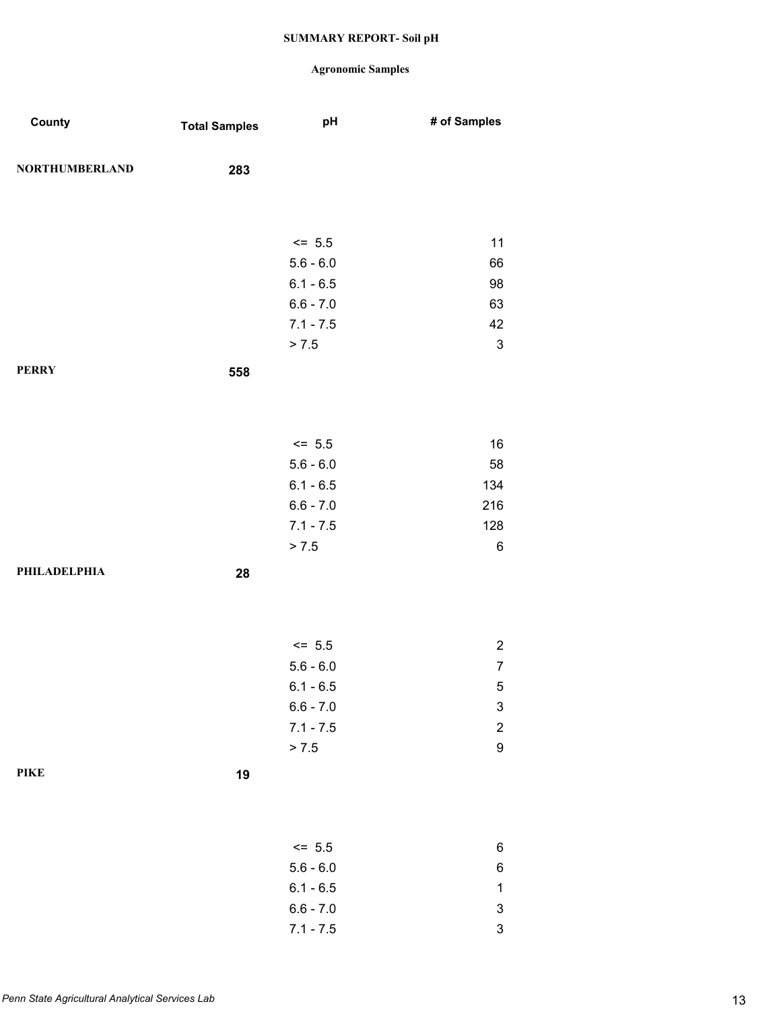| County                | <b>Total Samples</b> | pH          | # of Samples              |
|-----------------------|----------------------|-------------|---------------------------|
| <b>NORTHUMBERLAND</b> | 283                  |             |                           |
|                       |                      |             |                           |
|                       |                      |             |                           |
|                       |                      | $<= 5.5$    | 11                        |
|                       |                      | $5.6 - 6.0$ | 66                        |
|                       |                      | $6.1 - 6.5$ | 98                        |
|                       |                      | $6.6 - 7.0$ | 63                        |
|                       |                      | $7.1 - 7.5$ | 42                        |
|                       |                      | > 7.5       | $\mathsf 3$               |
| <b>PERRY</b>          | 558                  |             |                           |
|                       |                      |             |                           |
|                       |                      |             |                           |
|                       |                      | $<= 5.5$    | 16                        |
|                       |                      | $5.6 - 6.0$ | 58                        |
|                       |                      | $6.1 - 6.5$ | 134                       |
|                       |                      | $6.6 - 7.0$ | 216                       |
|                       |                      | $7.1 - 7.5$ | 128                       |
|                       |                      | > 7.5       | 6                         |
| PHILADELPHIA          | 28                   |             |                           |
|                       |                      |             |                           |
|                       |                      |             |                           |
|                       |                      | $<= 5.5$    | $\overline{2}$            |
|                       |                      | $5.6 - 6.0$ | $\overline{7}$            |
|                       |                      | $6.1 - 6.5$ | 5                         |
|                       |                      | $6.6 - 7.0$ | $\ensuremath{\mathsf{3}}$ |
|                       |                      | $7.1 - 7.5$ | $\overline{c}$            |
|                       |                      | > 7.5       | 9                         |
| <b>PIKE</b>           | 19                   |             |                           |
|                       |                      |             |                           |
|                       |                      |             |                           |
|                       |                      | $<= 5.5$    | 6                         |
|                       |                      | $5.6 - 6.0$ | 6                         |
|                       |                      | $6.1 - 6.5$ | 1                         |
|                       |                      | $6.6 - 7.0$ | 3                         |
|                       |                      | $7.1 - 7.5$ | $\ensuremath{\mathsf{3}}$ |
|                       |                      |             |                           |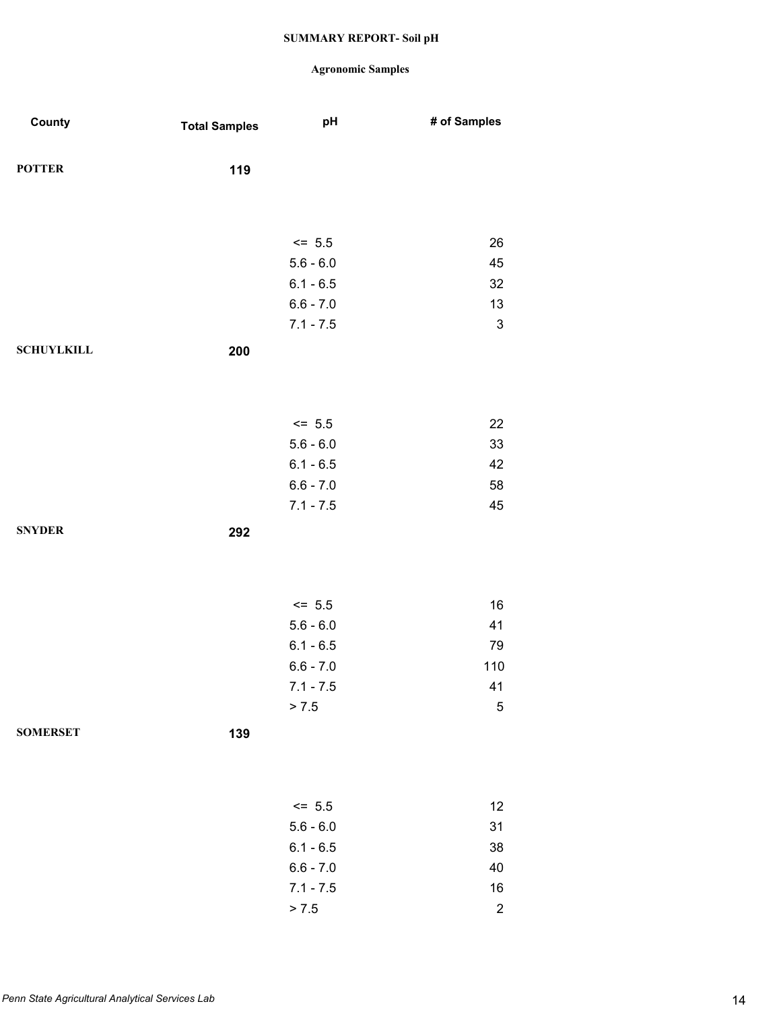## **Agronomic Samples**

 $> 7.5$  2

| County            | <b>Total Samples</b> | pH          | # of Samples              |
|-------------------|----------------------|-------------|---------------------------|
| <b>POTTER</b>     | 119                  |             |                           |
|                   |                      |             |                           |
|                   |                      | $<= 5.5$    | 26                        |
|                   |                      | $5.6 - 6.0$ | 45                        |
|                   |                      | $6.1 - 6.5$ | 32                        |
|                   |                      | $6.6 - 7.0$ | 13                        |
|                   |                      | $7.1 - 7.5$ | $\ensuremath{\mathsf{3}}$ |
| <b>SCHUYLKILL</b> | 200                  |             |                           |
|                   |                      |             |                           |
|                   |                      |             |                           |
|                   |                      | $\le$ 5.5   | 22                        |
|                   |                      | $5.6 - 6.0$ | 33                        |
|                   |                      | $6.1 - 6.5$ | 42                        |
|                   |                      | $6.6 - 7.0$ | 58                        |
|                   |                      | $7.1 - 7.5$ | 45                        |
| <b>SNYDER</b>     | 292                  |             |                           |
|                   |                      |             |                           |
|                   |                      |             |                           |
|                   |                      |             |                           |
|                   |                      | $<= 5.5$    | $16\,$                    |
|                   |                      | $5.6 - 6.0$ | 41                        |
|                   |                      | $6.1 - 6.5$ | 79                        |
|                   |                      | $6.6 - 7.0$ | 110                       |
|                   |                      | $7.1 - 7.5$ | 41                        |
|                   |                      | > 7.5       | $\sqrt{5}$                |
| <b>SOMERSET</b>   | 139                  |             |                           |
|                   |                      |             |                           |
|                   |                      |             |                           |
|                   |                      | $<= 5.5$    | 12                        |
|                   |                      | $5.6 - 6.0$ | 31                        |
|                   |                      | $6.1 - 6.5$ | 38                        |
|                   |                      | $6.6 - 7.0$ | 40                        |
|                   |                      | $7.1 - 7.5$ | $16\,$                    |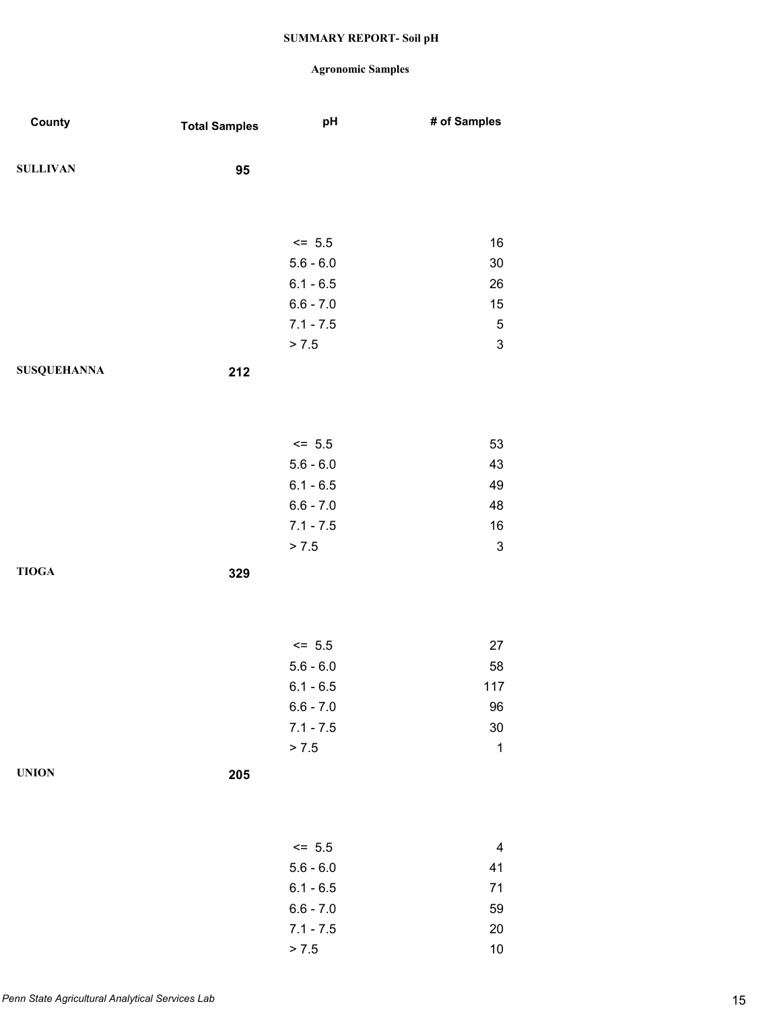| County             | <b>Total Samples</b> | pH                      | # of Samples              |
|--------------------|----------------------|-------------------------|---------------------------|
| <b>SULLIVAN</b>    | 95                   |                         |                           |
|                    |                      |                         |                           |
|                    |                      | $\le$ 5.5               | 16                        |
|                    |                      | $5.6 - 6.0$             | $30\,$                    |
|                    |                      | $6.1 - 6.5$             | 26                        |
|                    |                      | $6.6 - 7.0$             | 15                        |
|                    |                      | $7.1 - 7.5$<br>> 7.5    | $\mathbf 5$<br>3          |
| <b>SUSQUEHANNA</b> | 212                  |                         |                           |
|                    |                      |                         |                           |
|                    |                      |                         |                           |
|                    |                      | $<= 5.5$<br>$5.6 - 6.0$ | 53<br>43                  |
|                    |                      | $6.1 - 6.5$             | 49                        |
|                    |                      | $6.6 - 7.0$             | 48                        |
|                    |                      | $7.1 - 7.5$             | $16\,$                    |
|                    |                      | > 7.5                   | $\ensuremath{\mathsf{3}}$ |
| <b>TIOGA</b>       | 329                  |                         |                           |
|                    |                      |                         |                           |
|                    |                      | $<= 5.5$                | 27                        |
|                    |                      | $5.6 - 6.0$             | 58                        |
|                    |                      | $6.1 - 6.5$             | $117$                     |
|                    |                      | $6.6 - 7.0$             | 96                        |
|                    |                      | $7.1 - 7.5$             | $30\,$                    |
|                    |                      | > 7.5                   | $\mathbf 1$               |
| <b>UNION</b>       | 205                  |                         |                           |
|                    |                      |                         |                           |
|                    |                      | $\le$ 5.5               | $\overline{\mathbf{4}}$   |
|                    |                      | $5.6 - 6.0$             | 41                        |
|                    |                      | $6.1 - 6.5$             | 71                        |
|                    |                      | $6.6 - 7.0$             | 59                        |
|                    |                      | $7.1 - 7.5$             | $20\,$                    |
|                    |                      | > 7.5                   | 10                        |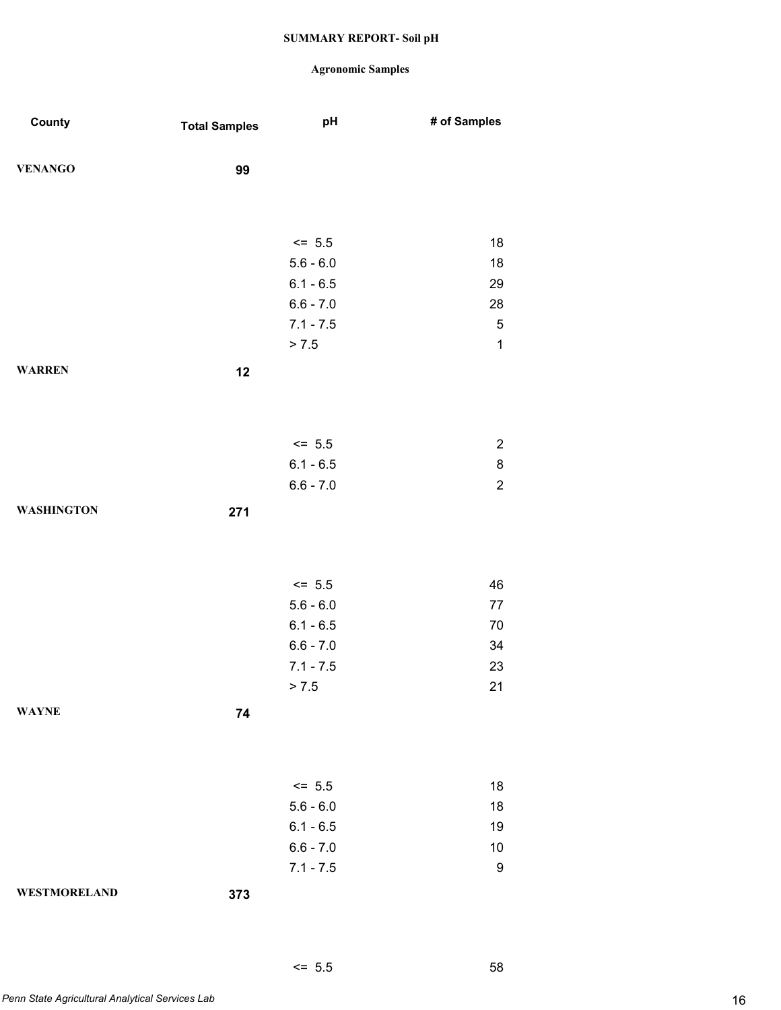## **Agronomic Samples**

 $\leq$  5.5 58

| County              | <b>Total Samples</b> | pH          | # of Samples     |
|---------------------|----------------------|-------------|------------------|
| <b>VENANGO</b>      | 99                   |             |                  |
|                     |                      |             |                  |
|                     |                      |             |                  |
|                     |                      | $<= 5.5$    | 18               |
|                     |                      | $5.6 - 6.0$ | 18               |
|                     |                      | $6.1 - 6.5$ | 29               |
|                     |                      | $6.6 - 7.0$ | 28               |
|                     |                      | $7.1 - 7.5$ | $\mathbf 5$      |
|                     |                      | > 7.5       | $\mathbf{1}$     |
| <b>WARREN</b>       | 12                   |             |                  |
|                     |                      |             |                  |
|                     |                      |             |                  |
|                     |                      | $<= 5.5$    | $\overline{c}$   |
|                     |                      | $6.1 - 6.5$ | 8                |
|                     |                      | $6.6 - 7.0$ | $\boldsymbol{2}$ |
| <b>WASHINGTON</b>   | 271                  |             |                  |
|                     |                      |             |                  |
|                     |                      |             |                  |
|                     |                      | $<= 5.5$    | 46               |
|                     |                      | $5.6 - 6.0$ | 77               |
|                     |                      | $6.1 - 6.5$ | 70               |
|                     |                      | $6.6 - 7.0$ | 34               |
|                     |                      | $7.1 - 7.5$ | 23               |
|                     |                      | > 7.5       | 21               |
| <b>WAYNE</b>        | 74                   |             |                  |
|                     |                      |             |                  |
|                     |                      |             |                  |
|                     |                      | $<= 5.5$    | 18               |
|                     |                      | $5.6 - 6.0$ | 18               |
|                     |                      | $6.1 - 6.5$ | 19               |
|                     |                      | $6.6 - 7.0$ | 10               |
|                     |                      | $7.1 - 7.5$ | $\boldsymbol{9}$ |
| <b>WESTMORELAND</b> | 373                  |             |                  |
|                     |                      |             |                  |